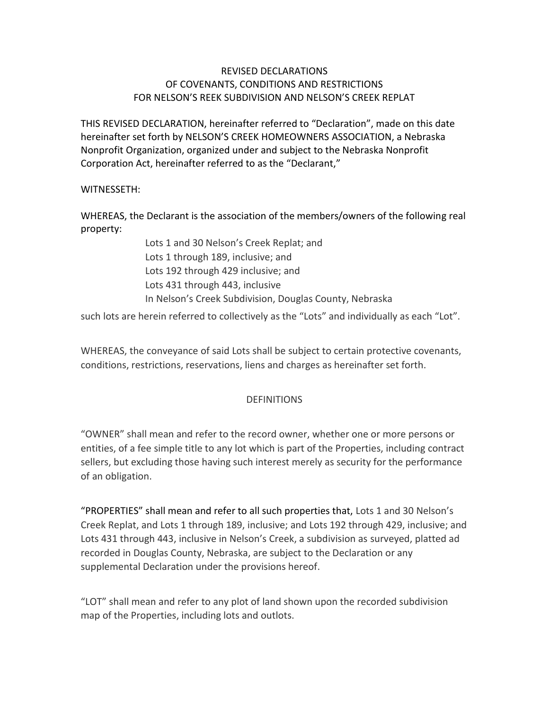## REVISED DECLARATIONS OF COVENANTS, CONDITIONS AND RESTRICTIONS FOR NELSON'S REEK SUBDIVISION AND NELSON'S CREEK REPLAT

THIS REVISED DECLARATION, hereinafter referred to "Declaration", made on this date hereinafter set forth by NELSON'S CREEK HOMEOWNERS ASSOCIATION, a Nebraska Nonprofit Organization, organized under and subject to the Nebraska Nonprofit Corporation Act, hereinafter referred to as the "Declarant,"

## WITNESSETH:

WHEREAS, the Declarant is the association of the members/owners of the following real property:

> Lots 1 and 30 Nelson's Creek Replat; and Lots 1 through 189, inclusive; and Lots 192 through 429 inclusive; and Lots 431 through 443, inclusive In Nelson's Creek Subdivision, Douglas County, Nebraska

such lots are herein referred to collectively as the "Lots" and individually as each "Lot".

WHEREAS, the conveyance of said Lots shall be subject to certain protective covenants, conditions, restrictions, reservations, liens and charges as hereinafter set forth.

## DEFINITIONS

"OWNER" shall mean and refer to the record owner, whether one or more persons or entities, of a fee simple title to any lot which is part of the Properties, including contract sellers, but excluding those having such interest merely as security for the performance of an obligation.

"PROPERTIES" shall mean and refer to all such properties that, Lots 1 and 30 Nelson's Creek Replat, and Lots 1 through 189, inclusive; and Lots 192 through 429, inclusive; and Lots 431 through 443, inclusive in Nelson's Creek, a subdivision as surveyed, platted ad recorded in Douglas County, Nebraska, are subject to the Declaration or any supplemental Declaration under the provisions hereof.

"LOT" shall mean and refer to any plot of land shown upon the recorded subdivision map of the Properties, including lots and outlots.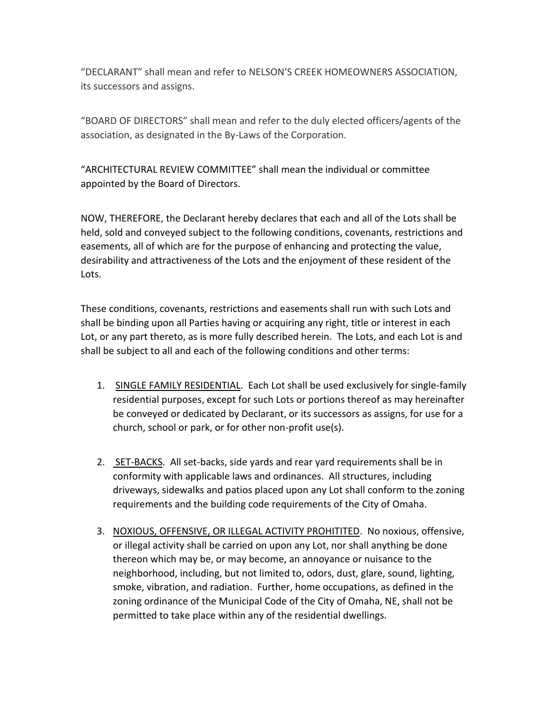"DECLARANT" shall mean and refer to NELSON'S CREEK HOMEOWNERS ASSOCIATION, its successors and assigns.

"BOARD OF DIRECTORS" shall mean and refer to the duly elected officers/agents of the association, as designated in the By-Laws of the Corporation.

"ARCHITECTURAL REVIEW COMMITTEE" shall mean the individual or committee appointed by the Board of Directors.

NOW, THEREFORE, the Declarant hereby declares that each and all of the Lots shall be held, sold and conveyed subject to the following conditions, covenants, restrictions and easements, all of which are for the purpose of enhancing and protecting the value, desirability and attractiveness of the Lots and the enjoyment of these resident of the Lots.

These conditions, covenants, restrictions and easements shall run with such Lots and shall be binding upon all Parties having or acquiring any right, title or interest in each Lot, or any part thereto, as is more fully described herein. The Lots, and each Lot is and shall be subject to all and each of the following conditions and other terms:

- 1. SINGLE FAMILY RESIDENTIAL. Each Lot shall be used exclusively for single-family residential purposes, except for such Lots or portions thereof as may hereinafter be conveyed or dedicated by Declarant, or its successors as assigns, for use for a church, school or park, or for other non-profit use(s).
- 2. SET-BACKS. All set-backs, side yards and rear yard requirements shall be in conformity with applicable laws and ordinances. All structures, including driveways, sidewalks and patios placed upon any Lot shall conform to the zoning requirements and the building code requirements of the City of Omaha.
- 3. NOXIOUS, OFFENSIVE, OR ILLEGAL ACTIVITY PROHITITED. No noxious, offensive, or illegal activity shall be carried on upon any Lot, nor shall anything be done thereon which may be, or may become, an annoyance or nuisance to the neighborhood, including, but not limited to, odors, dust, glare, sound, lighting, smoke, vibration, and radiation. Further, home occupations, as defined in the zoning ordinance of the Municipal Code of the City of Omaha, NE, shall not be permitted to take place within any of the residential dwellings.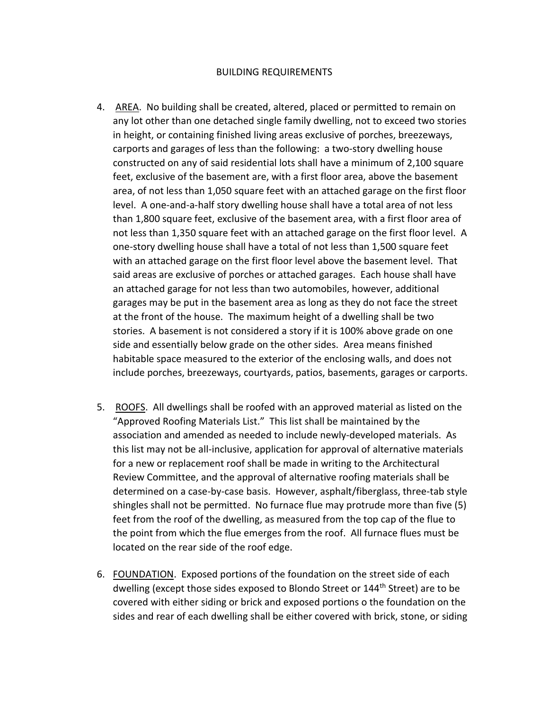## BUILDING REQUIREMENTS

- 4. AREA. No building shall be created, altered, placed or permitted to remain on any lot other than one detached single family dwelling, not to exceed two stories in height, or containing finished living areas exclusive of porches, breezeways, carports and garages of less than the following: a two-story dwelling house constructed on any of said residential lots shall have a minimum of 2,100 square feet, exclusive of the basement are, with a first floor area, above the basement area, of not less than 1,050 square feet with an attached garage on the first floor level. A one-and-a-half story dwelling house shall have a total area of not less than 1,800 square feet, exclusive of the basement area, with a first floor area of not less than 1,350 square feet with an attached garage on the first floor level. A one-story dwelling house shall have a total of not less than 1,500 square feet with an attached garage on the first floor level above the basement level. That said areas are exclusive of porches or attached garages. Each house shall have an attached garage for not less than two automobiles, however, additional garages may be put in the basement area as long as they do not face the street at the front of the house. The maximum height of a dwelling shall be two stories. A basement is not considered a story if it is 100% above grade on one side and essentially below grade on the other sides. Area means finished habitable space measured to the exterior of the enclosing walls, and does not include porches, breezeways, courtyards, patios, basements, garages or carports.
- 5. ROOFS. All dwellings shall be roofed with an approved material as listed on the "Approved Roofing Materials List." This list shall be maintained by the association and amended as needed to include newly-developed materials. As this list may not be all-inclusive, application for approval of alternative materials for a new or replacement roof shall be made in writing to the Architectural Review Committee, and the approval of alternative roofing materials shall be determined on a case-by-case basis. However, asphalt/fiberglass, three-tab style shingles shall not be permitted. No furnace flue may protrude more than five (5) feet from the roof of the dwelling, as measured from the top cap of the flue to the point from which the flue emerges from the roof. All furnace flues must be located on the rear side of the roof edge.
- 6. FOUNDATION. Exposed portions of the foundation on the street side of each dwelling (except those sides exposed to Blondo Street or 144<sup>th</sup> Street) are to be covered with either siding or brick and exposed portions o the foundation on the sides and rear of each dwelling shall be either covered with brick, stone, or siding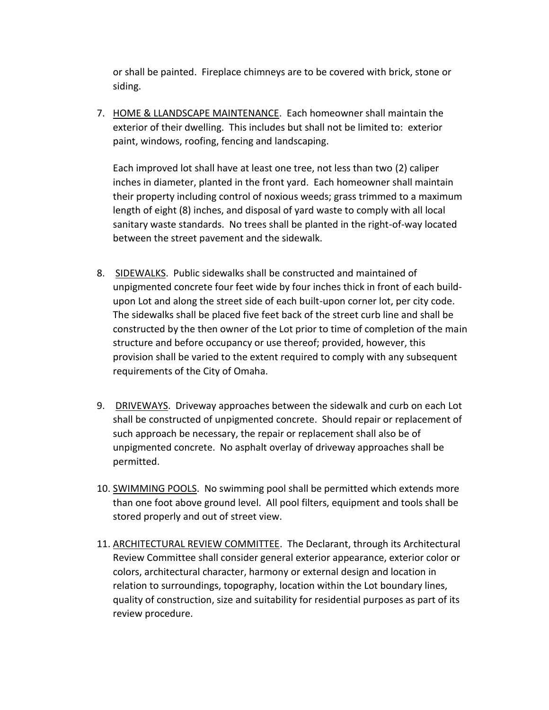or shall be painted. Fireplace chimneys are to be covered with brick, stone or siding.

7. HOME & LLANDSCAPE MAINTENANCE. Each homeowner shall maintain the exterior of their dwelling. This includes but shall not be limited to: exterior paint, windows, roofing, fencing and landscaping.

Each improved lot shall have at least one tree, not less than two (2) caliper inches in diameter, planted in the front yard. Each homeowner shall maintain their property including control of noxious weeds; grass trimmed to a maximum length of eight (8) inches, and disposal of yard waste to comply with all local sanitary waste standards. No trees shall be planted in the right-of-way located between the street pavement and the sidewalk.

- 8. SIDEWALKS. Public sidewalks shall be constructed and maintained of unpigmented concrete four feet wide by four inches thick in front of each buildupon Lot and along the street side of each built-upon corner lot, per city code. The sidewalks shall be placed five feet back of the street curb line and shall be constructed by the then owner of the Lot prior to time of completion of the main structure and before occupancy or use thereof; provided, however, this provision shall be varied to the extent required to comply with any subsequent requirements of the City of Omaha.
- 9. DRIVEWAYS. Driveway approaches between the sidewalk and curb on each Lot shall be constructed of unpigmented concrete. Should repair or replacement of such approach be necessary, the repair or replacement shall also be of unpigmented concrete. No asphalt overlay of driveway approaches shall be permitted.
- 10. SWIMMING POOLS. No swimming pool shall be permitted which extends more than one foot above ground level. All pool filters, equipment and tools shall be stored properly and out of street view.
- 11. ARCHITECTURAL REVIEW COMMITTEE. The Declarant, through its Architectural Review Committee shall consider general exterior appearance, exterior color or colors, architectural character, harmony or external design and location in relation to surroundings, topography, location within the Lot boundary lines, quality of construction, size and suitability for residential purposes as part of its review procedure.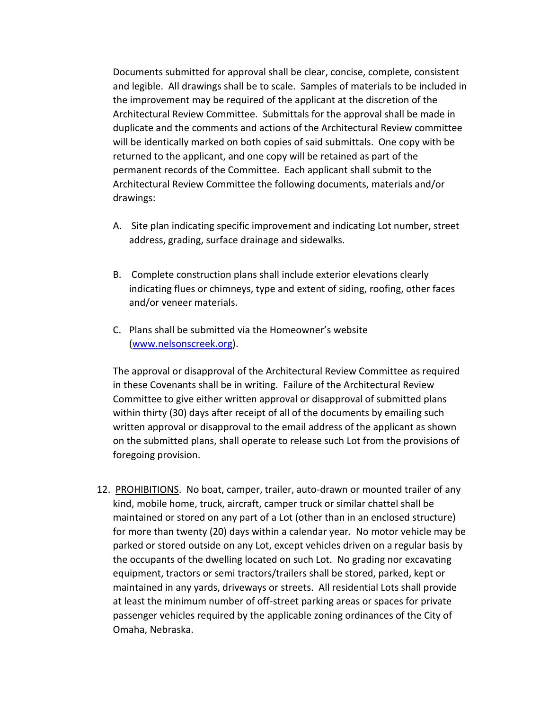Documents submitted for approval shall be clear, concise, complete, consistent and legible. All drawings shall be to scale. Samples of materials to be included in the improvement may be required of the applicant at the discretion of the Architectural Review Committee. Submittals for the approval shall be made in duplicate and the comments and actions of the Architectural Review committee will be identically marked on both copies of said submittals. One copy with be returned to the applicant, and one copy will be retained as part of the permanent records of the Committee. Each applicant shall submit to the Architectural Review Committee the following documents, materials and/or drawings:

- A. Site plan indicating specific improvement and indicating Lot number, street address, grading, surface drainage and sidewalks.
- B. Complete construction plans shall include exterior elevations clearly indicating flues or chimneys, type and extent of siding, roofing, other faces and/or veneer materials.
- C. Plans shall be submitted via the Homeowner's website [\(www.nelsonscreek.org\)](http://www.nelsonscreek.org/).

The approval or disapproval of the Architectural Review Committee as required in these Covenants shall be in writing. Failure of the Architectural Review Committee to give either written approval or disapproval of submitted plans within thirty (30) days after receipt of all of the documents by emailing such written approval or disapproval to the email address of the applicant as shown on the submitted plans, shall operate to release such Lot from the provisions of foregoing provision.

12. PROHIBITIONS. No boat, camper, trailer, auto-drawn or mounted trailer of any kind, mobile home, truck, aircraft, camper truck or similar chattel shall be maintained or stored on any part of a Lot (other than in an enclosed structure) for more than twenty (20) days within a calendar year. No motor vehicle may be parked or stored outside on any Lot, except vehicles driven on a regular basis by the occupants of the dwelling located on such Lot. No grading nor excavating equipment, tractors or semi tractors/trailers shall be stored, parked, kept or maintained in any yards, driveways or streets. All residential Lots shall provide at least the minimum number of off-street parking areas or spaces for private passenger vehicles required by the applicable zoning ordinances of the City of Omaha, Nebraska.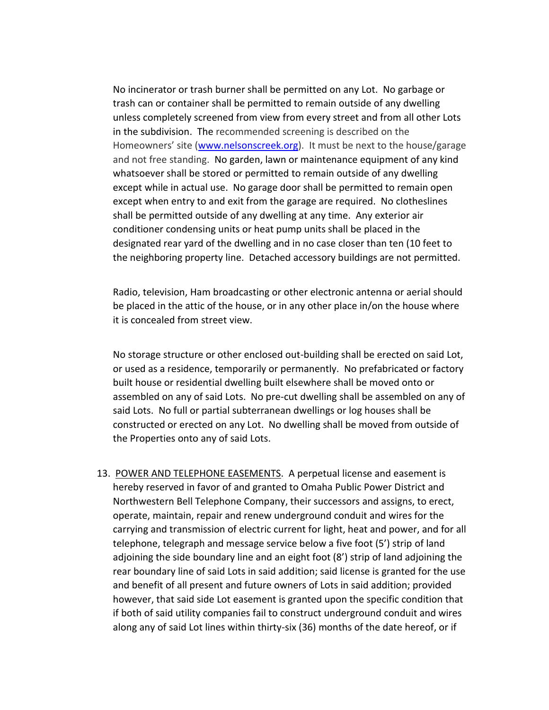No incinerator or trash burner shall be permitted on any Lot. No garbage or trash can or container shall be permitted to remain outside of any dwelling unless completely screened from view from every street and from all other Lots in the subdivision. The recommended screening is described on the Homeowners' site ([www.nelsonscreek.org](http://www.nelsonscreek.or/)). It must be next to the house/garage and not free standing. No garden, lawn or maintenance equipment of any kind whatsoever shall be stored or permitted to remain outside of any dwelling except while in actual use. No garage door shall be permitted to remain open except when entry to and exit from the garage are required. No clotheslines shall be permitted outside of any dwelling at any time. Any exterior air conditioner condensing units or heat pump units shall be placed in the designated rear yard of the dwelling and in no case closer than ten (10 feet to the neighboring property line. Detached accessory buildings are not permitted.

Radio, television, Ham broadcasting or other electronic antenna or aerial should be placed in the attic of the house, or in any other place in/on the house where it is concealed from street view.

No storage structure or other enclosed out-building shall be erected on said Lot, or used as a residence, temporarily or permanently. No prefabricated or factory built house or residential dwelling built elsewhere shall be moved onto or assembled on any of said Lots. No pre-cut dwelling shall be assembled on any of said Lots. No full or partial subterranean dwellings or log houses shall be constructed or erected on any Lot. No dwelling shall be moved from outside of the Properties onto any of said Lots.

13. POWER AND TELEPHONE EASEMENTS. A perpetual license and easement is hereby reserved in favor of and granted to Omaha Public Power District and Northwestern Bell Telephone Company, their successors and assigns, to erect, operate, maintain, repair and renew underground conduit and wires for the carrying and transmission of electric current for light, heat and power, and for all telephone, telegraph and message service below a five foot (5') strip of land adjoining the side boundary line and an eight foot (8') strip of land adjoining the rear boundary line of said Lots in said addition; said license is granted for the use and benefit of all present and future owners of Lots in said addition; provided however, that said side Lot easement is granted upon the specific condition that if both of said utility companies fail to construct underground conduit and wires along any of said Lot lines within thirty-six (36) months of the date hereof, or if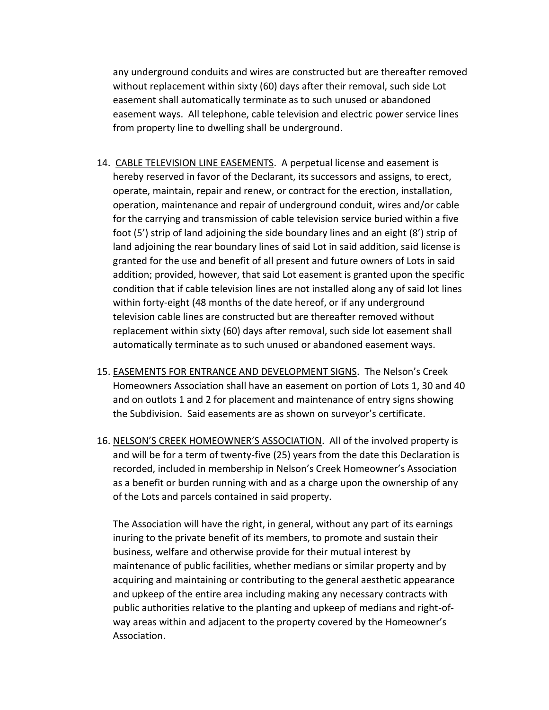any underground conduits and wires are constructed but are thereafter removed without replacement within sixty (60) days after their removal, such side Lot easement shall automatically terminate as to such unused or abandoned easement ways. All telephone, cable television and electric power service lines from property line to dwelling shall be underground.

- 14. CABLE TELEVISION LINE EASEMENTS. A perpetual license and easement is hereby reserved in favor of the Declarant, its successors and assigns, to erect, operate, maintain, repair and renew, or contract for the erection, installation, operation, maintenance and repair of underground conduit, wires and/or cable for the carrying and transmission of cable television service buried within a five foot (5') strip of land adjoining the side boundary lines and an eight (8') strip of land adjoining the rear boundary lines of said Lot in said addition, said license is granted for the use and benefit of all present and future owners of Lots in said addition; provided, however, that said Lot easement is granted upon the specific condition that if cable television lines are not installed along any of said lot lines within forty-eight (48 months of the date hereof, or if any underground television cable lines are constructed but are thereafter removed without replacement within sixty (60) days after removal, such side lot easement shall automatically terminate as to such unused or abandoned easement ways.
- 15. EASEMENTS FOR ENTRANCE AND DEVELOPMENT SIGNS. The Nelson's Creek Homeowners Association shall have an easement on portion of Lots 1, 30 and 40 and on outlots 1 and 2 for placement and maintenance of entry signs showing the Subdivision. Said easements are as shown on surveyor's certificate.
- 16. NELSON'S CREEK HOMEOWNER'S ASSOCIATION. All of the involved property is and will be for a term of twenty-five (25) years from the date this Declaration is recorded, included in membership in Nelson's Creek Homeowner's Association as a benefit or burden running with and as a charge upon the ownership of any of the Lots and parcels contained in said property.

The Association will have the right, in general, without any part of its earnings inuring to the private benefit of its members, to promote and sustain their business, welfare and otherwise provide for their mutual interest by maintenance of public facilities, whether medians or similar property and by acquiring and maintaining or contributing to the general aesthetic appearance and upkeep of the entire area including making any necessary contracts with public authorities relative to the planting and upkeep of medians and right-ofway areas within and adjacent to the property covered by the Homeowner's Association.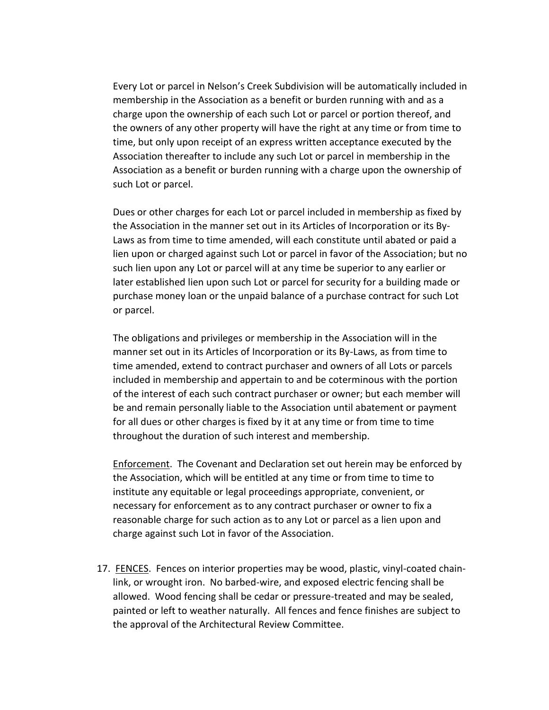Every Lot or parcel in Nelson's Creek Subdivision will be automatically included in membership in the Association as a benefit or burden running with and as a charge upon the ownership of each such Lot or parcel or portion thereof, and the owners of any other property will have the right at any time or from time to time, but only upon receipt of an express written acceptance executed by the Association thereafter to include any such Lot or parcel in membership in the Association as a benefit or burden running with a charge upon the ownership of such Lot or parcel.

Dues or other charges for each Lot or parcel included in membership as fixed by the Association in the manner set out in its Articles of Incorporation or its By-Laws as from time to time amended, will each constitute until abated or paid a lien upon or charged against such Lot or parcel in favor of the Association; but no such lien upon any Lot or parcel will at any time be superior to any earlier or later established lien upon such Lot or parcel for security for a building made or purchase money loan or the unpaid balance of a purchase contract for such Lot or parcel.

The obligations and privileges or membership in the Association will in the manner set out in its Articles of Incorporation or its By-Laws, as from time to time amended, extend to contract purchaser and owners of all Lots or parcels included in membership and appertain to and be coterminous with the portion of the interest of each such contract purchaser or owner; but each member will be and remain personally liable to the Association until abatement or payment for all dues or other charges is fixed by it at any time or from time to time throughout the duration of such interest and membership.

Enforcement. The Covenant and Declaration set out herein may be enforced by the Association, which will be entitled at any time or from time to time to institute any equitable or legal proceedings appropriate, convenient, or necessary for enforcement as to any contract purchaser or owner to fix a reasonable charge for such action as to any Lot or parcel as a lien upon and charge against such Lot in favor of the Association.

17. FENCES. Fences on interior properties may be wood, plastic, vinyl-coated chainlink, or wrought iron. No barbed-wire, and exposed electric fencing shall be allowed. Wood fencing shall be cedar or pressure-treated and may be sealed, painted or left to weather naturally. All fences and fence finishes are subject to the approval of the Architectural Review Committee.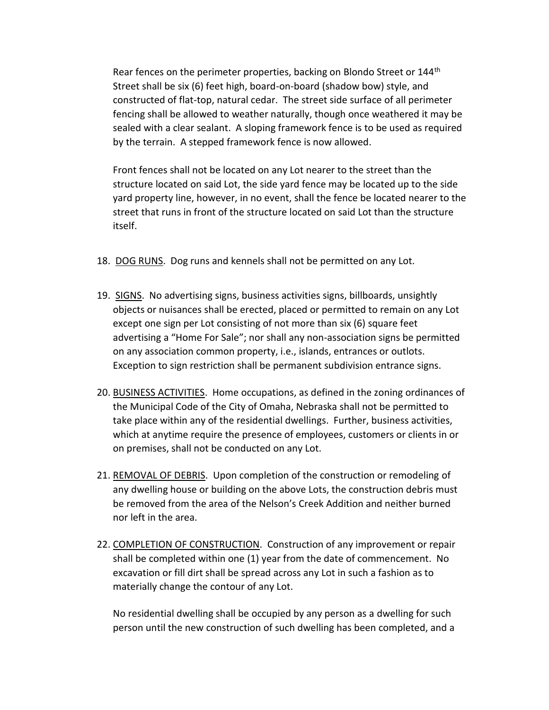Rear fences on the perimeter properties, backing on Blondo Street or 144<sup>th</sup> Street shall be six (6) feet high, board-on-board (shadow bow) style, and constructed of flat-top, natural cedar. The street side surface of all perimeter fencing shall be allowed to weather naturally, though once weathered it may be sealed with a clear sealant. A sloping framework fence is to be used as required by the terrain. A stepped framework fence is now allowed.

Front fences shall not be located on any Lot nearer to the street than the structure located on said Lot, the side yard fence may be located up to the side yard property line, however, in no event, shall the fence be located nearer to the street that runs in front of the structure located on said Lot than the structure itself.

- 18. DOG RUNS. Dog runs and kennels shall not be permitted on any Lot.
- 19. SIGNS. No advertising signs, business activities signs, billboards, unsightly objects or nuisances shall be erected, placed or permitted to remain on any Lot except one sign per Lot consisting of not more than six (6) square feet advertising a "Home For Sale"; nor shall any non-association signs be permitted on any association common property, i.e., islands, entrances or outlots. Exception to sign restriction shall be permanent subdivision entrance signs.
- 20. BUSINESS ACTIVITIES. Home occupations, as defined in the zoning ordinances of the Municipal Code of the City of Omaha, Nebraska shall not be permitted to take place within any of the residential dwellings. Further, business activities, which at anytime require the presence of employees, customers or clients in or on premises, shall not be conducted on any Lot.
- 21. REMOVAL OF DEBRIS. Upon completion of the construction or remodeling of any dwelling house or building on the above Lots, the construction debris must be removed from the area of the Nelson's Creek Addition and neither burned nor left in the area.
- 22. COMPLETION OF CONSTRUCTION. Construction of any improvement or repair shall be completed within one (1) year from the date of commencement. No excavation or fill dirt shall be spread across any Lot in such a fashion as to materially change the contour of any Lot.

No residential dwelling shall be occupied by any person as a dwelling for such person until the new construction of such dwelling has been completed, and a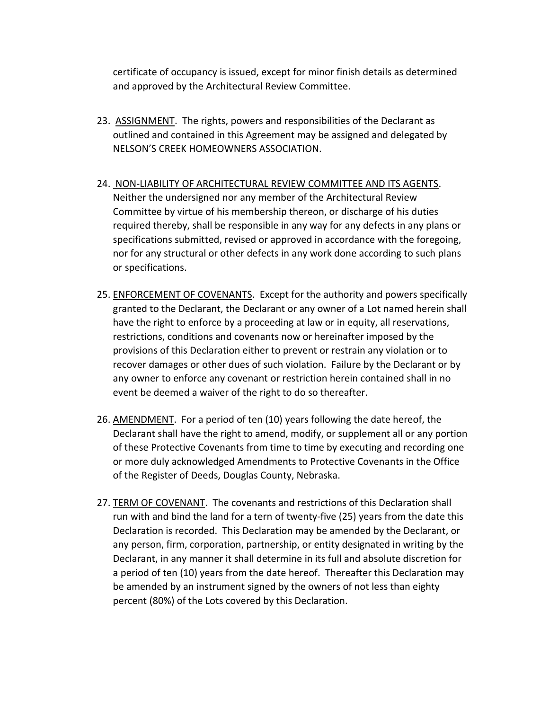certificate of occupancy is issued, except for minor finish details as determined and approved by the Architectural Review Committee.

- 23. ASSIGNMENT. The rights, powers and responsibilities of the Declarant as outlined and contained in this Agreement may be assigned and delegated by NELSON'S CREEK HOMEOWNERS ASSOCIATION.
- 24. NON-LIABILITY OF ARCHITECTURAL REVIEW COMMITTEE AND ITS AGENTS. Neither the undersigned nor any member of the Architectural Review Committee by virtue of his membership thereon, or discharge of his duties required thereby, shall be responsible in any way for any defects in any plans or specifications submitted, revised or approved in accordance with the foregoing, nor for any structural or other defects in any work done according to such plans or specifications.
- 25. ENFORCEMENT OF COVENANTS. Except for the authority and powers specifically granted to the Declarant, the Declarant or any owner of a Lot named herein shall have the right to enforce by a proceeding at law or in equity, all reservations, restrictions, conditions and covenants now or hereinafter imposed by the provisions of this Declaration either to prevent or restrain any violation or to recover damages or other dues of such violation. Failure by the Declarant or by any owner to enforce any covenant or restriction herein contained shall in no event be deemed a waiver of the right to do so thereafter.
- 26. AMENDMENT. For a period of ten (10) years following the date hereof, the Declarant shall have the right to amend, modify, or supplement all or any portion of these Protective Covenants from time to time by executing and recording one or more duly acknowledged Amendments to Protective Covenants in the Office of the Register of Deeds, Douglas County, Nebraska.
- 27. TERM OF COVENANT. The covenants and restrictions of this Declaration shall run with and bind the land for a tern of twenty-five (25) years from the date this Declaration is recorded. This Declaration may be amended by the Declarant, or any person, firm, corporation, partnership, or entity designated in writing by the Declarant, in any manner it shall determine in its full and absolute discretion for a period of ten (10) years from the date hereof. Thereafter this Declaration may be amended by an instrument signed by the owners of not less than eighty percent (80%) of the Lots covered by this Declaration.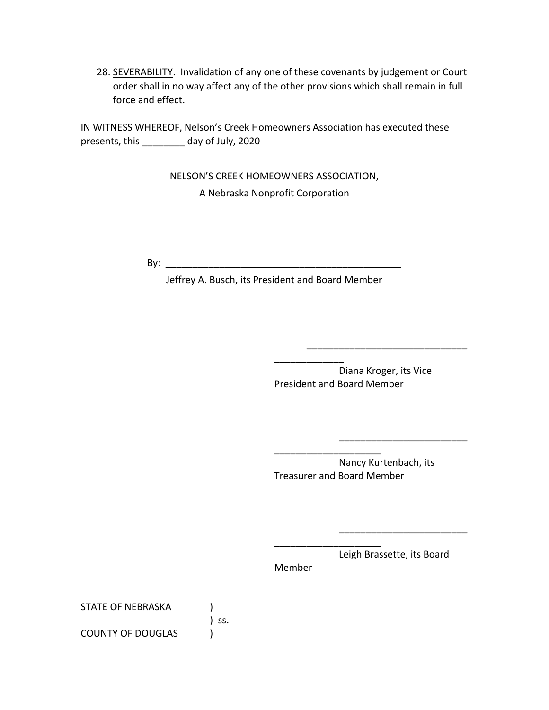28. SEVERABILITY. Invalidation of any one of these covenants by judgement or Court order shall in no way affect any of the other provisions which shall remain in full force and effect.

IN WITNESS WHEREOF, Nelson's Creek Homeowners Association has executed these presents, this \_\_\_\_\_\_\_\_ day of July, 2020

> NELSON'S CREEK HOMEOWNERS ASSOCIATION, A Nebraska Nonprofit Corporation

By: \_\_\_\_\_\_\_\_\_\_\_\_\_\_\_\_\_\_\_\_\_\_\_\_\_\_\_\_\_\_\_\_\_\_\_\_\_\_\_\_\_\_\_\_

Jeffrey A. Busch, its President and Board Member

Diana Kroger, its Vice President and Board Member

\_\_\_\_\_\_\_\_\_\_\_\_\_

\_\_\_\_\_\_\_\_\_\_\_\_\_\_\_\_\_\_\_\_\_\_\_\_\_\_\_\_\_\_

\_\_\_\_\_\_\_\_\_\_\_\_\_\_\_\_\_\_\_\_\_\_\_\_

\_\_\_\_\_\_\_\_\_\_\_\_\_\_\_\_\_\_\_\_\_\_\_\_

\_\_\_\_\_\_\_\_\_\_\_\_\_\_\_\_\_\_\_\_ Nancy Kurtenbach, its Treasurer and Board Member

\_\_\_\_\_\_\_\_\_\_\_\_\_\_\_\_\_\_\_\_

Member

Leigh Brassette, its Board

STATE OF NEBRASKA

COUNTY OF DOUGLAS )

) ss.